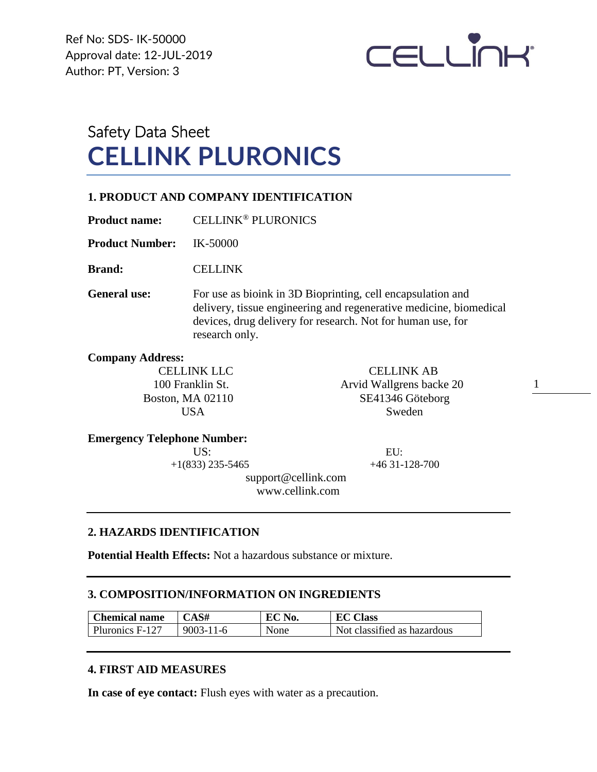Ref No: SDS- IK-50000 Approval date: 12-JUL-2019 Author: PT, Version: 3



# Safety Data Sheet **CELLINK PLURONICS**

#### **1. PRODUCT AND COMPANY IDENTIFICATION**

**Product name:** CELLINK® PLURONICS

**Product Number:** IK-50000

**Brand:** CELLINK

**General use:** For use as bioink in 3D Bioprinting, cell encapsulation and delivery, tissue engineering and regenerative medicine, biomedical devices, drug delivery for research. Not for human use, for research only.

**Company Address:**

CELLINK LLC CELLINK AB 100 Franklin St. Arvid Wallgrens backe 20 Boston, MA 02110 SE41346 Göteborg USA Sweden

1

#### **Emergency Telephone Number:**

US: EU:

 $+1(833)$  235-5465  $+46$  31-128-700

 support@cellink.com www.cellink.com

#### **2. HAZARDS IDENTIFICATION**

**Potential Health Effects:** Not a hazardous substance or mixture.

#### **3. COMPOSITION/INFORMATION ON INGREDIENTS**

| <b>Chemical name</b> | CAS#            | EC No. | <b>EC Class</b>             |
|----------------------|-----------------|--------|-----------------------------|
| Pluronics F-127      | $9003 - 11 - 6$ | None   | Not classified as hazardous |

#### **4. FIRST AID MEASURES**

**In case of eye contact:** Flush eyes with water as a precaution.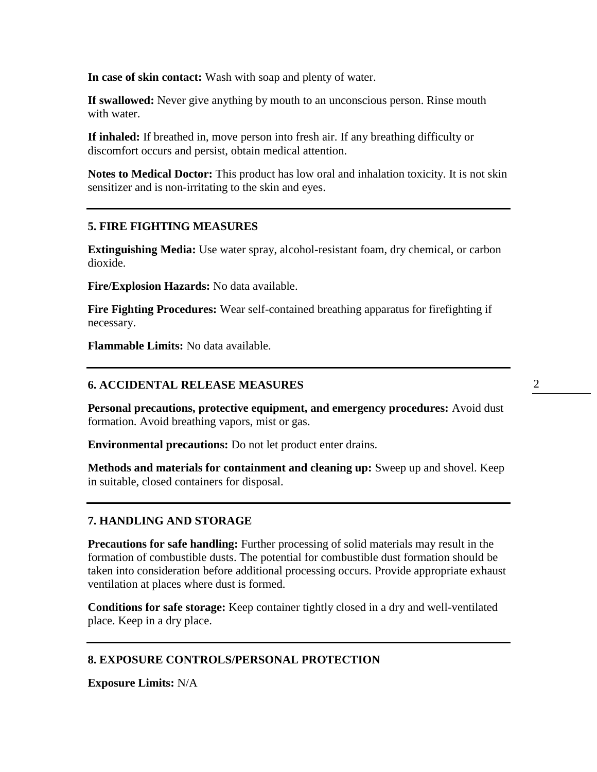**In case of skin contact:** Wash with soap and plenty of water.

**If swallowed:** Never give anything by mouth to an unconscious person. Rinse mouth with water.

**If inhaled:** If breathed in, move person into fresh air. If any breathing difficulty or discomfort occurs and persist, obtain medical attention.

**Notes to Medical Doctor:** This product has low oral and inhalation toxicity. It is not skin sensitizer and is non-irritating to the skin and eyes.

#### **5. FIRE FIGHTING MEASURES**

**Extinguishing Media:** Use water spray, alcohol-resistant foam, dry chemical, or carbon dioxide.

**Fire/Explosion Hazards:** No data available.

**Fire Fighting Procedures:** Wear self-contained breathing apparatus for firefighting if necessary.

**Flammable Limits:** No data available.

#### **6. ACCIDENTAL RELEASE MEASURES**

**Personal precautions, protective equipment, and emergency procedures:** Avoid dust formation. Avoid breathing vapors, mist or gas.

**Environmental precautions:** Do not let product enter drains.

**Methods and materials for containment and cleaning up:** Sweep up and shovel. Keep in suitable, closed containers for disposal.

#### **7. HANDLING AND STORAGE**

**Precautions for safe handling:** Further processing of solid materials may result in the formation of combustible dusts. The potential for combustible dust formation should be taken into consideration before additional processing occurs. Provide appropriate exhaust ventilation at places where dust is formed.

**Conditions for safe storage:** Keep container tightly closed in a dry and well-ventilated place. Keep in a dry place.

#### **8. EXPOSURE CONTROLS/PERSONAL PROTECTION**

**Exposure Limits:** N/A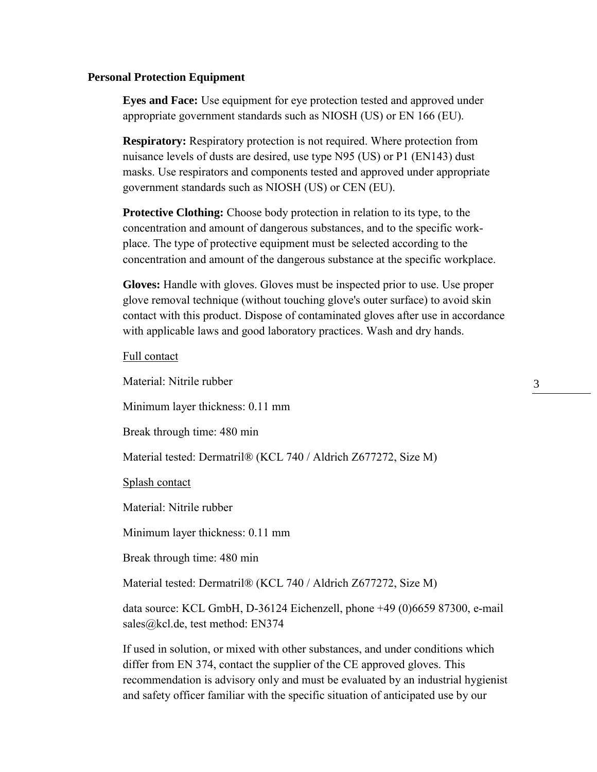#### **Personal Protection Equipment**

**Eyes and Face:** Use equipment for eye protection tested and approved under appropriate government standards such as NIOSH (US) or EN 166 (EU).

**Respiratory:** Respiratory protection is not required. Where protection from nuisance levels of dusts are desired, use type N95 (US) or P1 (EN143) dust masks. Use respirators and components tested and approved under appropriate government standards such as NIOSH (US) or CEN (EU).

**Protective Clothing:** Choose body protection in relation to its type, to the concentration and amount of dangerous substances, and to the specific workplace. The type of protective equipment must be selected according to the concentration and amount of the dangerous substance at the specific workplace.

**Gloves:** Handle with gloves. Gloves must be inspected prior to use. Use proper glove removal technique (without touching glove's outer surface) to avoid skin contact with this product. Dispose of contaminated gloves after use in accordance with applicable laws and good laboratory practices. Wash and dry hands.

Full contact

Material: Nitrile rubber Minimum layer thickness: 0.11 mm Break through time: 480 min Material tested: Dermatril® (KCL 740 / Aldrich Z677272, Size M) Splash contact Material: Nitrile rubber Minimum layer thickness: 0.11 mm Break through time: 480 min Material tested: Dermatril® (KCL 740 / Aldrich Z677272, Size M) data source: KCL GmbH, D-36124 Eichenzell, phone +49 (0)6659 87300, e-mail sales@kcl.de, test method: EN374

If used in solution, or mixed with other substances, and under conditions which differ from EN 374, contact the supplier of the CE approved gloves. This recommendation is advisory only and must be evaluated by an industrial hygienist and safety officer familiar with the specific situation of anticipated use by our

3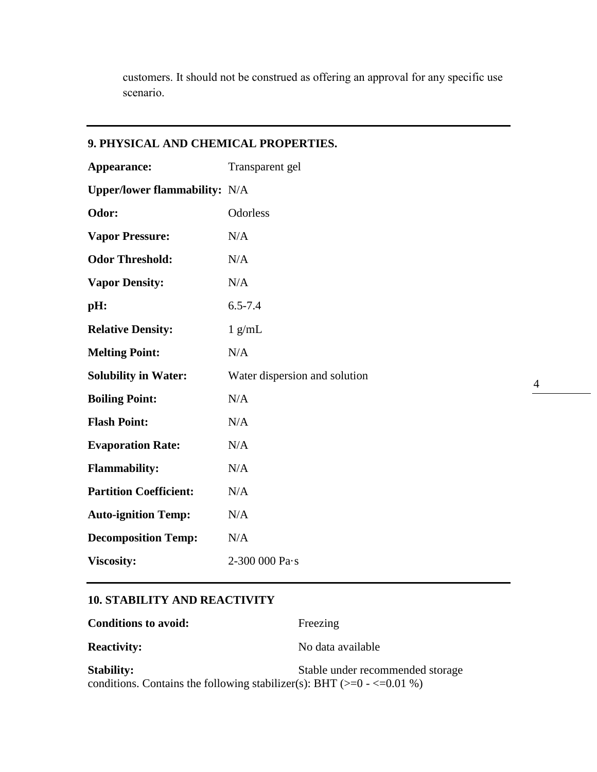customers. It should not be construed as offering an approval for any specific use scenario.

| 9. PHYSICAL AND CHEMICAL PROPERTIES. |  |  |  |  |
|--------------------------------------|--|--|--|--|
| Transparent gel                      |  |  |  |  |
| <b>Upper/lower flammability:</b> N/A |  |  |  |  |
| Odorless                             |  |  |  |  |
| N/A                                  |  |  |  |  |
| N/A                                  |  |  |  |  |
| N/A                                  |  |  |  |  |
| $6.5 - 7.4$                          |  |  |  |  |
| $1$ g/mL                             |  |  |  |  |
| N/A                                  |  |  |  |  |
| Water dispersion and solution        |  |  |  |  |
| N/A                                  |  |  |  |  |
| N/A                                  |  |  |  |  |
| N/A                                  |  |  |  |  |
| N/A                                  |  |  |  |  |
| N/A                                  |  |  |  |  |
| N/A                                  |  |  |  |  |
| N/A                                  |  |  |  |  |
| 2-300 000 Pa·s                       |  |  |  |  |
|                                      |  |  |  |  |

 $4 \quad \qquad$ 

## **10. STABILITY AND REACTIVITY**

| <b>Conditions to avoid:</b>                                                                        | Freezing                         |
|----------------------------------------------------------------------------------------------------|----------------------------------|
| <b>Reactivity:</b>                                                                                 | No data available                |
| <b>Stability:</b><br>conditions. Contains the following stabilizer(s): BHT ( $>= 0$ - $<= 0.01$ %) | Stable under recommended storage |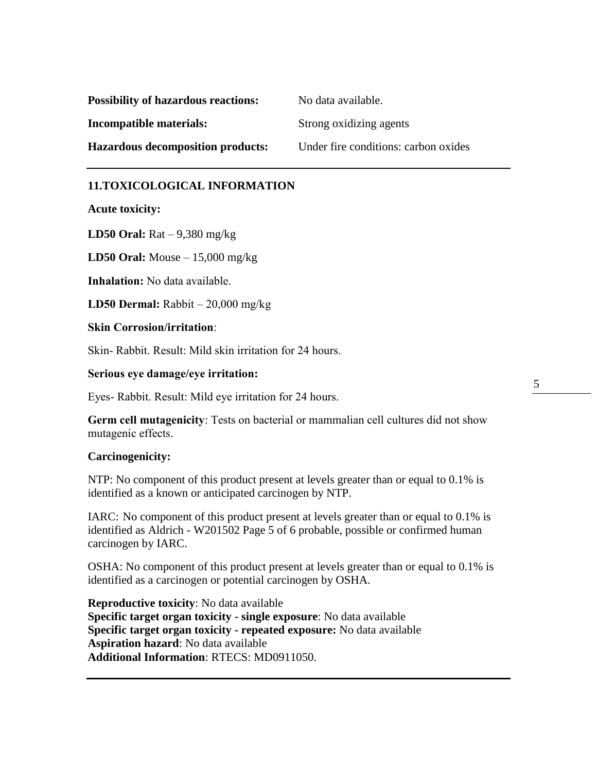| <b>Possibility of hazardous reactions:</b> | No data available.                   |
|--------------------------------------------|--------------------------------------|
| Incompatible materials:                    | Strong oxidizing agents              |
| <b>Hazardous decomposition products:</b>   | Under fire conditions: carbon oxides |

#### **11.TOXICOLOGICAL INFORMATION**

**Acute toxicity:**

**LD50 Oral:** Rat – 9,380 mg/kg

**LD50 Oral:** Mouse – 15,000 mg/kg

**Inhalation:** No data available.

**LD50 Dermal:** Rabbit – 20,000 mg/kg

**Skin Corrosion/irritation**:

Skin- Rabbit. Result: Mild skin irritation for 24 hours.

**Serious eye damage/eye irritation:**

Eyes- Rabbit. Result: Mild eye irritation for 24 hours.

**Germ cell mutagenicity**: Tests on bacterial or mammalian cell cultures did not show mutagenic effects.

#### **Carcinogenicity:**

NTP: No component of this product present at levels greater than or equal to 0.1% is identified as a known or anticipated carcinogen by NTP.

IARC: No component of this product present at levels greater than or equal to 0.1% is identified as Aldrich - W201502 Page 5 of 6 probable, possible or confirmed human carcinogen by IARC.

OSHA: No component of this product present at levels greater than or equal to 0.1% is identified as a carcinogen or potential carcinogen by OSHA.

**Reproductive toxicity**: No data available **Specific target organ toxicity - single exposure**: No data available **Specific target organ toxicity - repeated exposure:** No data available **Aspiration hazard**: No data available **Additional Information**: RTECS: MD0911050.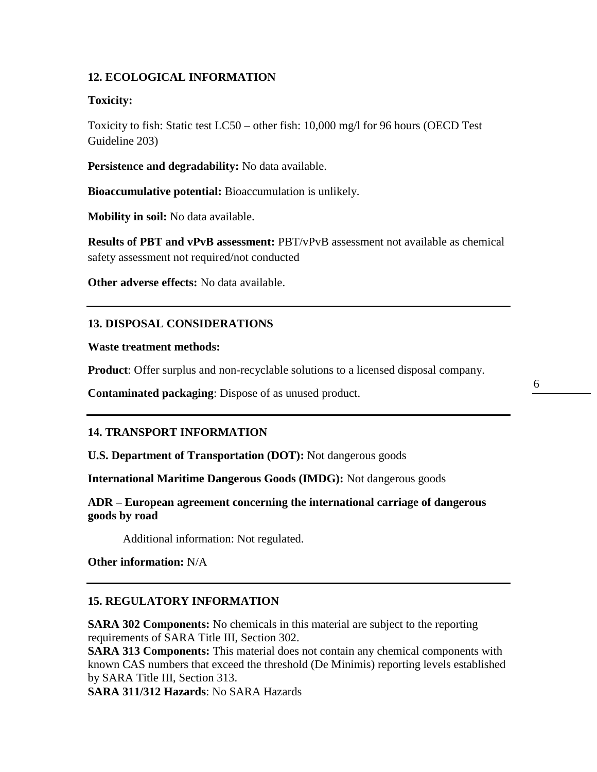### **12. ECOLOGICAL INFORMATION**

#### **Toxicity:**

Toxicity to fish: Static test LC50 – other fish: 10,000 mg/l for 96 hours (OECD Test Guideline 203)

**Persistence and degradability:** No data available.

**Bioaccumulative potential:** Bioaccumulation is unlikely.

**Mobility in soil:** No data available.

**Results of PBT and vPvB assessment:** PBT/vPvB assessment not available as chemical safety assessment not required/not conducted

**Other adverse effects:** No data available.

#### **13. DISPOSAL CONSIDERATIONS**

**Waste treatment methods:**

**Product**: Offer surplus and non-recyclable solutions to a licensed disposal company.

**Contaminated packaging**: Dispose of as unused product.

## 6

#### **14. TRANSPORT INFORMATION**

**U.S. Department of Transportation (DOT):** Not dangerous goods

**International Maritime Dangerous Goods (IMDG):** Not dangerous goods

**ADR – European agreement concerning the international carriage of dangerous goods by road** 

Additional information: Not regulated.

**Other information:** N/A

### **15. REGULATORY INFORMATION**

**SARA 302 Components:** No chemicals in this material are subject to the reporting requirements of SARA Title III, Section 302.

**SARA 313 Components:** This material does not contain any chemical components with known CAS numbers that exceed the threshold (De Minimis) reporting levels established by SARA Title III, Section 313.

**SARA 311/312 Hazards**: No SARA Hazards